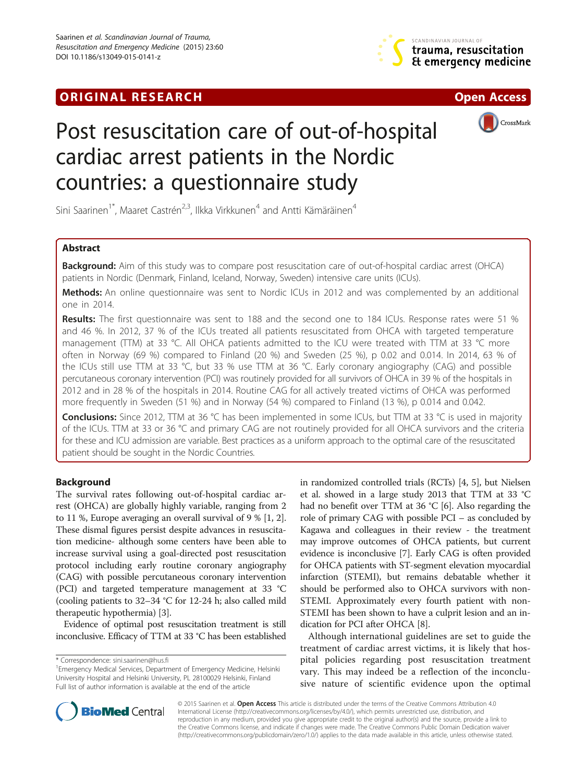# **ORIGINAL RESEARCH CHARGE ACCESS**







# Post resuscitation care of out-of-hospital cardiac arrest patients in the Nordic countries: a questionnaire study

Sini Saarinen<sup>1\*</sup>, Maaret Castrén<sup>2,3</sup>, Ilkka Virkkunen<sup>4</sup> and Antti Kämäräinen<sup>4</sup>

# Abstract

Background: Aim of this study was to compare post resuscitation care of out-of-hospital cardiac arrest (OHCA) patients in Nordic (Denmark, Finland, Iceland, Norway, Sweden) intensive care units (ICUs).

Methods: An online questionnaire was sent to Nordic ICUs in 2012 and was complemented by an additional one in 2014.

Results: The first questionnaire was sent to 188 and the second one to 184 ICUs. Response rates were 51 % and 46 %. In 2012, 37 % of the ICUs treated all patients resuscitated from OHCA with targeted temperature management (TTM) at 33 °C. All OHCA patients admitted to the ICU were treated with TTM at 33 °C more often in Norway (69 %) compared to Finland (20 %) and Sweden (25 %), p 0.02 and 0.014. In 2014, 63 % of the ICUs still use TTM at 33 °C, but 33 % use TTM at 36 °C. Early coronary angiography (CAG) and possible percutaneous coronary intervention (PCI) was routinely provided for all survivors of OHCA in 39 % of the hospitals in 2012 and in 28 % of the hospitals in 2014. Routine CAG for all actively treated victims of OHCA was performed more frequently in Sweden (51 %) and in Norway (54 %) compared to Finland (13 %), p 0.014 and 0.042.

Conclusions: Since 2012, TTM at 36 ℃ has been implemented in some ICUs, but TTM at 33 ℃ is used in majority of the ICUs. TTM at 33 or 36 °C and primary CAG are not routinely provided for all OHCA survivors and the criteria for these and ICU admission are variable. Best practices as a uniform approach to the optimal care of the resuscitated patient should be sought in the Nordic Countries.

# Background

The survival rates following out-of-hospital cardiac arrest (OHCA) are globally highly variable, ranging from 2 to 11 %, Europe averaging an overall survival of 9 % [[1, 2](#page-4-0)]. These dismal figures persist despite advances in resuscitation medicine- although some centers have been able to increase survival using a goal-directed post resuscitation protocol including early routine coronary angiography (CAG) with possible percutaneous coronary intervention (PCI) and targeted temperature management at 33 °C (cooling patients to 32–34 °C for 12-24 h; also called mild therapeutic hypothermia) [[3\]](#page-4-0).

Evidence of optimal post resuscitation treatment is still inconclusive. Efficacy of TTM at 33 °C has been established in randomized controlled trials (RCTs) [\[4](#page-4-0), [5](#page-4-0)], but Nielsen et al. showed in a large study 2013 that TTM at 33 °C had no benefit over TTM at 36 °C [[6](#page-4-0)]. Also regarding the role of primary CAG with possible PCI – as concluded by Kagawa and colleagues in their review - the treatment may improve outcomes of OHCA patients, but current evidence is inconclusive [\[7](#page-4-0)]. Early CAG is often provided for OHCA patients with ST-segment elevation myocardial infarction (STEMI), but remains debatable whether it should be performed also to OHCA survivors with non-STEMI. Approximately every fourth patient with non-STEMI has been shown to have a culprit lesion and an indication for PCI after OHCA [[8](#page-4-0)].

Although international guidelines are set to guide the treatment of cardiac arrest victims, it is likely that hospital policies regarding post resuscitation treatment vary. This may indeed be a reflection of the inconclusive nature of scientific evidence upon the optimal



© 2015 Saarinen et al. Open Access This article is distributed under the terms of the Creative Commons Attribution 4.0 International License [\(http://creativecommons.org/licenses/by/4.0/](http://creativecommons.org/licenses/by/4.0/)), which permits unrestricted use, distribution, and reproduction in any medium, provided you give appropriate credit to the original author(s) and the source, provide a link to the Creative Commons license, and indicate if changes were made. The Creative Commons Public Domain Dedication waiver [\(http://creativecommons.org/publicdomain/zero/1.0/](http://creativecommons.org/publicdomain/zero/1.0/)) applies to the data made available in this article, unless otherwise stated.

<sup>\*</sup> Correspondence: [sini.saarinen@hus.fi](mailto:sini.saarinen@hus.fi) <sup>1</sup>

<sup>&</sup>lt;sup>1</sup> Emergency Medical Services, Department of Emergency Medicine, Helsinki University Hospital and Helsinki University, PL 28100029 Helsinki, Finland Full list of author information is available at the end of the article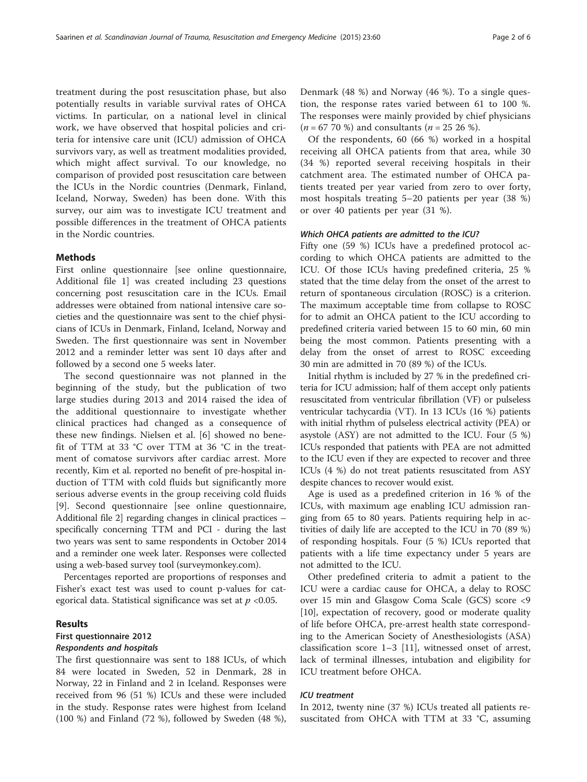treatment during the post resuscitation phase, but also potentially results in variable survival rates of OHCA victims. In particular, on a national level in clinical work, we have observed that hospital policies and criteria for intensive care unit (ICU) admission of OHCA survivors vary, as well as treatment modalities provided, which might affect survival. To our knowledge, no comparison of provided post resuscitation care between the ICUs in the Nordic countries (Denmark, Finland, Iceland, Norway, Sweden) has been done. With this survey, our aim was to investigate ICU treatment and possible differences in the treatment of OHCA patients in the Nordic countries.

#### Methods

First online questionnaire [see online questionnaire, Additional file [1](#page-4-0)] was created including 23 questions concerning post resuscitation care in the ICUs. Email addresses were obtained from national intensive care societies and the questionnaire was sent to the chief physicians of ICUs in Denmark, Finland, Iceland, Norway and Sweden. The first questionnaire was sent in November 2012 and a reminder letter was sent 10 days after and followed by a second one 5 weeks later.

The second questionnaire was not planned in the beginning of the study, but the publication of two large studies during 2013 and 2014 raised the idea of the additional questionnaire to investigate whether clinical practices had changed as a consequence of these new findings. Nielsen et al. [\[6](#page-4-0)] showed no benefit of TTM at 33 °C over TTM at 36 °C in the treatment of comatose survivors after cardiac arrest. More recently, Kim et al. reported no benefit of pre-hospital induction of TTM with cold fluids but significantly more serious adverse events in the group receiving cold fluids [[9\]](#page-4-0). Second questionnaire [see online questionnaire, Additional file [2](#page-4-0)] regarding changes in clinical practices – specifically concerning TTM and PCI - during the last two years was sent to same respondents in October 2014 and a reminder one week later. Responses were collected using a web-based survey tool [\(surveymonkey.com](http://surveymonkey.com)).

Percentages reported are proportions of responses and Fisher's exact test was used to count p-values for categorical data. Statistical significance was set at  $p < 0.05$ .

### Results

# First questionnaire 2012

# Respondents and hospitals

The first questionnaire was sent to 188 ICUs, of which 84 were located in Sweden, 52 in Denmark, 28 in Norway, 22 in Finland and 2 in Iceland. Responses were received from 96 (51 %) ICUs and these were included in the study. Response rates were highest from Iceland (100 %) and Finland (72 %), followed by Sweden (48 %), Denmark (48 %) and Norway (46 %). To a single question, the response rates varied between 61 to 100 %. The responses were mainly provided by chief physicians  $(n = 67 70 \%)$  and consultants  $(n = 25 26 \%)$ .

Of the respondents, 60 (66 %) worked in a hospital receiving all OHCA patients from that area, while 30 (34 %) reported several receiving hospitals in their catchment area. The estimated number of OHCA patients treated per year varied from zero to over forty, most hospitals treating 5–20 patients per year (38 %) or over 40 patients per year (31 %).

#### Which OHCA patients are admitted to the ICU?

Fifty one (59 %) ICUs have a predefined protocol according to which OHCA patients are admitted to the ICU. Of those ICUs having predefined criteria, 25 % stated that the time delay from the onset of the arrest to return of spontaneous circulation (ROSC) is a criterion. The maximum acceptable time from collapse to ROSC for to admit an OHCA patient to the ICU according to predefined criteria varied between 15 to 60 min, 60 min being the most common. Patients presenting with a delay from the onset of arrest to ROSC exceeding 30 min are admitted in 70 (89 %) of the ICUs.

Initial rhythm is included by 27 % in the predefined criteria for ICU admission; half of them accept only patients resuscitated from ventricular fibrillation (VF) or pulseless ventricular tachycardia (VT). In 13 ICUs (16 %) patients with initial rhythm of pulseless electrical activity (PEA) or asystole (ASY) are not admitted to the ICU. Four (5 %) ICUs responded that patients with PEA are not admitted to the ICU even if they are expected to recover and three ICUs (4 %) do not treat patients resuscitated from ASY despite chances to recover would exist.

Age is used as a predefined criterion in 16 % of the ICUs, with maximum age enabling ICU admission ranging from 65 to 80 years. Patients requiring help in activities of daily life are accepted to the ICU in 70 (89 %) of responding hospitals. Four (5 %) ICUs reported that patients with a life time expectancy under 5 years are not admitted to the ICU.

Other predefined criteria to admit a patient to the ICU were a cardiac cause for OHCA, a delay to ROSC over 15 min and Glasgow Coma Scale (GCS) score <9 [[10\]](#page-4-0), expectation of recovery, good or moderate quality of life before OHCA, pre-arrest health state corresponding to the American Society of Anesthesiologists (ASA) classification score 1–3 [[11](#page-4-0)], witnessed onset of arrest, lack of terminal illnesses, intubation and eligibility for ICU treatment before OHCA.

#### ICU treatment

In 2012, twenty nine (37 %) ICUs treated all patients resuscitated from OHCA with TTM at 33 °C, assuming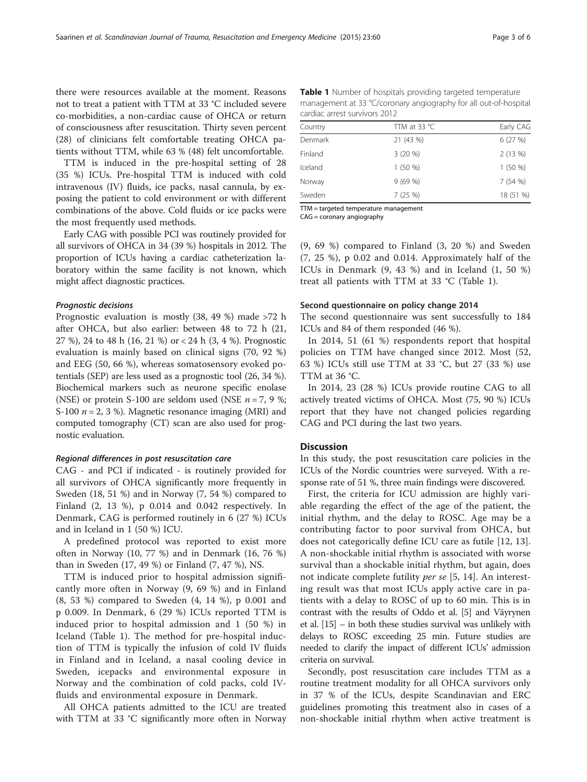there were resources available at the moment. Reasons not to treat a patient with TTM at 33 °C included severe co-morbidities, a non-cardiac cause of OHCA or return of consciousness after resuscitation. Thirty seven percent (28) of clinicians felt comfortable treating OHCA patients without TTM, while 63 % (48) felt uncomfortable.

TTM is induced in the pre-hospital setting of 28 (35 %) ICUs. Pre-hospital TTM is induced with cold intravenous (IV) fluids, ice packs, nasal cannula, by exposing the patient to cold environment or with different combinations of the above. Cold fluids or ice packs were the most frequently used methods.

Early CAG with possible PCI was routinely provided for all survivors of OHCA in 34 (39 %) hospitals in 2012. The proportion of ICUs having a cardiac catheterization laboratory within the same facility is not known, which might affect diagnostic practices.

#### Prognostic decisions

Prognostic evaluation is mostly (38, 49 %) made >72 h after OHCA, but also earlier: between 48 to 72 h (21, 27 %), 24 to 48 h (16, 21 %) or < 24 h (3, 4 %). Prognostic evaluation is mainly based on clinical signs (70, 92 %) and EEG (50, 66 %), whereas somatosensory evoked potentials (SEP) are less used as a prognostic tool (26, 34 %). Biochemical markers such as neurone specific enolase (NSE) or protein S-100 are seldom used (NSE  $n = 7, 9$ %; S-100  $n = 2, 3$  %). Magnetic resonance imaging (MRI) and computed tomography (CT) scan are also used for prognostic evaluation.

#### Regional differences in post resuscitation care

CAG - and PCI if indicated - is routinely provided for all survivors of OHCA significantly more frequently in Sweden (18, 51 %) and in Norway (7, 54 %) compared to Finland (2, 13 %), p 0.014 and 0.042 respectively. In Denmark, CAG is performed routinely in 6 (27 %) ICUs and in Iceland in 1 (50 %) ICU.

A predefined protocol was reported to exist more often in Norway (10, 77 %) and in Denmark (16, 76 %) than in Sweden (17, 49 %) or Finland (7, 47 %), NS.

TTM is induced prior to hospital admission significantly more often in Norway (9, 69 %) and in Finland (8, 53 %) compared to Sweden (4, 14 %), p 0.001 and p 0.009. In Denmark, 6 (29 %) ICUs reported TTM is induced prior to hospital admission and 1 (50 %) in Iceland (Table 1). The method for pre-hospital induction of TTM is typically the infusion of cold IV fluids in Finland and in Iceland, a nasal cooling device in Sweden, icepacks and environmental exposure in Norway and the combination of cold packs, cold IVfluids and environmental exposure in Denmark.

All OHCA patients admitted to the ICU are treated with TTM at 33 °C significantly more often in Norway

Table 1 Number of hospitals providing targeted temperature management at 33 °C/coronary angiography for all out-of-hospital cardiac arrest survivors 2012

| Country | TTM at 33 $^{\circ}$ C | Early CAG |
|---------|------------------------|-----------|
| Denmark | 21 (43 %)              | 6(27%)    |
| Finland | $3(20\%)$              | 2(13%)    |
| Iceland | 1(50%                  | 1(50%     |
| Norway  | 9(69%)                 | 7(54%)    |
| Sweden  | 7(25%)                 | 18 (51 %) |

TTM = targeted temperature management

CAG = coronary angiography

(9, 69 %) compared to Finland (3, 20 %) and Sweden (7, 25 %), p 0.02 and 0.014. Approximately half of the ICUs in Denmark (9, 43 %) and in Iceland (1, 50 %) treat all patients with TTM at 33 °C (Table 1).

#### Second questionnaire on policy change 2014

The second questionnaire was sent successfully to 184 ICUs and 84 of them responded (46 %).

In 2014, 51 (61 %) respondents report that hospital policies on TTM have changed since 2012. Most (52, 63 %) ICUs still use TTM at 33 °C, but 27 (33 %) use TTM at 36 °C.

In 2014, 23 (28 %) ICUs provide routine CAG to all actively treated victims of OHCA. Most (75, 90 %) ICUs report that they have not changed policies regarding CAG and PCI during the last two years.

# Discussion

In this study, the post resuscitation care policies in the ICUs of the Nordic countries were surveyed. With a response rate of 51 %, three main findings were discovered.

First, the criteria for ICU admission are highly variable regarding the effect of the age of the patient, the initial rhythm, and the delay to ROSC. Age may be a contributing factor to poor survival from OHCA, but does not categorically define ICU care as futile [[12, 13](#page-4-0)]. A non-shockable initial rhythm is associated with worse survival than a shockable initial rhythm, but again, does not indicate complete futility *per se* [[5, 14\]](#page-4-0). An interesting result was that most ICUs apply active care in patients with a delay to ROSC of up to 60 min. This is in contrast with the results of Oddo et al. [\[5\]](#page-4-0) and Väyrynen et al. [\[15\]](#page-4-0) – in both these studies survival was unlikely with delays to ROSC exceeding 25 min. Future studies are needed to clarify the impact of different ICUs' admission criteria on survival.

Secondly, post resuscitation care includes TTM as a routine treatment modality for all OHCA survivors only in 37 % of the ICUs, despite Scandinavian and ERC guidelines promoting this treatment also in cases of a non-shockable initial rhythm when active treatment is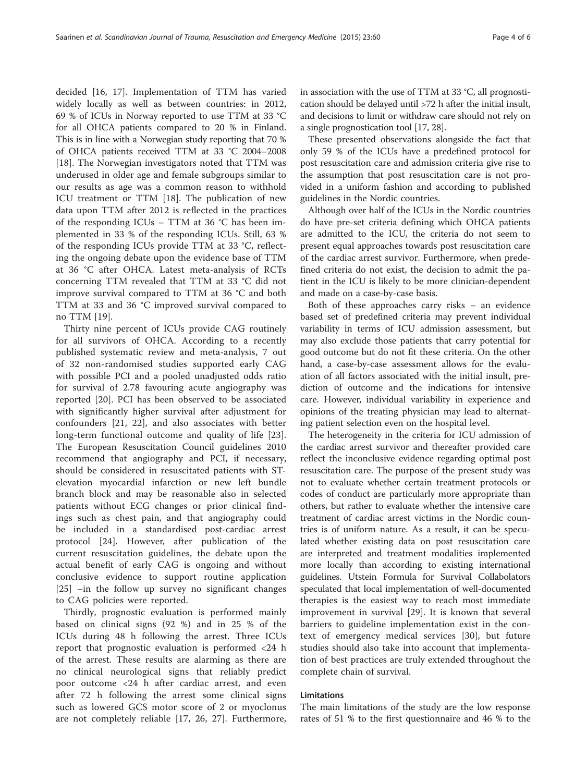decided [[16, 17](#page-4-0)]. Implementation of TTM has varied widely locally as well as between countries: in 2012, 69 % of ICUs in Norway reported to use TTM at 33 °C for all OHCA patients compared to 20 % in Finland. This is in line with a Norwegian study reporting that 70 % of OHCA patients received TTM at 33 °C 2004–2008 [[18\]](#page-4-0). The Norwegian investigators noted that TTM was underused in older age and female subgroups similar to our results as age was a common reason to withhold ICU treatment or TTM [\[18](#page-4-0)]. The publication of new data upon TTM after 2012 is reflected in the practices of the responding ICUs – TTM at 36 °C has been implemented in 33 % of the responding ICUs. Still, 63 % of the responding ICUs provide TTM at 33 °C, reflecting the ongoing debate upon the evidence base of TTM at 36 °C after OHCA. Latest meta-analysis of RCTs concerning TTM revealed that TTM at 33 °C did not improve survival compared to TTM at 36 °C and both TTM at 33 and 36 °C improved survival compared to no TTM [[19](#page-4-0)].

Thirty nine percent of ICUs provide CAG routinely for all survivors of OHCA. According to a recently published systematic review and meta-analysis, 7 out of 32 non-randomised studies supported early CAG with possible PCI and a pooled unadjusted odds ratio for survival of 2.78 favouring acute angiography was reported [[20\]](#page-4-0). PCI has been observed to be associated with significantly higher survival after adjustment for confounders [[21, 22](#page-4-0)], and also associates with better long-term functional outcome and quality of life [\[23](#page-5-0)]. The European Resuscitation Council guidelines 2010 recommend that angiography and PCI, if necessary, should be considered in resuscitated patients with STelevation myocardial infarction or new left bundle branch block and may be reasonable also in selected patients without ECG changes or prior clinical findings such as chest pain, and that angiography could be included in a standardised post-cardiac arrest protocol [[24](#page-5-0)]. However, after publication of the current resuscitation guidelines, the debate upon the actual benefit of early CAG is ongoing and without conclusive evidence to support routine application [[25\]](#page-5-0) –in the follow up survey no significant changes to CAG policies were reported.

Thirdly, prognostic evaluation is performed mainly based on clinical signs (92 %) and in 25 % of the ICUs during 48 h following the arrest. Three ICUs report that prognostic evaluation is performed <24 h of the arrest. These results are alarming as there are no clinical neurological signs that reliably predict poor outcome <24 h after cardiac arrest, and even after 72 h following the arrest some clinical signs such as lowered GCS motor score of 2 or myoclonus are not completely reliable [\[17](#page-4-0), [26](#page-5-0), [27](#page-5-0)]. Furthermore,

in association with the use of TTM at 33 °C, all prognostication should be delayed until >72 h after the initial insult, and decisions to limit or withdraw care should not rely on a single prognostication tool [[17](#page-4-0), [28\]](#page-5-0).

These presented observations alongside the fact that only 59 % of the ICUs have a predefined protocol for post resuscitation care and admission criteria give rise to the assumption that post resuscitation care is not provided in a uniform fashion and according to published guidelines in the Nordic countries.

Although over half of the ICUs in the Nordic countries do have pre-set criteria defining which OHCA patients are admitted to the ICU, the criteria do not seem to present equal approaches towards post resuscitation care of the cardiac arrest survivor. Furthermore, when predefined criteria do not exist, the decision to admit the patient in the ICU is likely to be more clinician-dependent and made on a case-by-case basis.

Both of these approaches carry risks – an evidence based set of predefined criteria may prevent individual variability in terms of ICU admission assessment, but may also exclude those patients that carry potential for good outcome but do not fit these criteria. On the other hand, a case-by-case assessment allows for the evaluation of all factors associated with the initial insult, prediction of outcome and the indications for intensive care. However, individual variability in experience and opinions of the treating physician may lead to alternating patient selection even on the hospital level.

The heterogeneity in the criteria for ICU admission of the cardiac arrest survivor and thereafter provided care reflect the inconclusive evidence regarding optimal post resuscitation care. The purpose of the present study was not to evaluate whether certain treatment protocols or codes of conduct are particularly more appropriate than others, but rather to evaluate whether the intensive care treatment of cardiac arrest victims in the Nordic countries is of uniform nature. As a result, it can be speculated whether existing data on post resuscitation care are interpreted and treatment modalities implemented more locally than according to existing international guidelines. Utstein Formula for Survival Collabolators speculated that local implementation of well-documented therapies is the easiest way to reach most immediate improvement in survival [[29\]](#page-5-0). It is known that several barriers to guideline implementation exist in the context of emergency medical services [[30\]](#page-5-0), but future studies should also take into account that implementation of best practices are truly extended throughout the complete chain of survival.

## Limitations

The main limitations of the study are the low response rates of 51 % to the first questionnaire and 46 % to the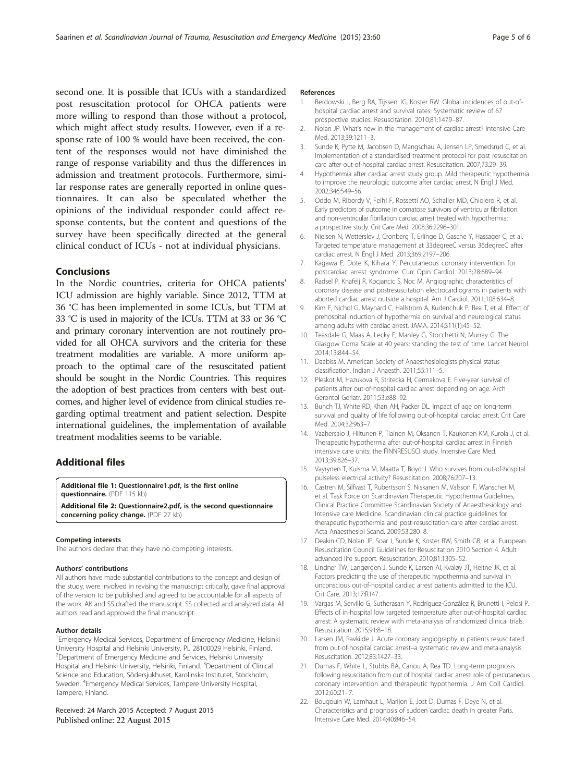<span id="page-4-0"></span>second one. It is possible that ICUs with a standardized post resuscitation protocol for OHCA patients were more willing to respond than those without a protocol, which might affect study results. However, even if a response rate of 100 % would have been received, the content of the responses would not have diminished the range of response variability and thus the differences in admission and treatment protocols. Furthermore, similar response rates are generally reported in online questionnaires. It can also be speculated whether the opinions of the individual responder could affect response contents, but the content and questions of the survey have been specifically directed at the general clinical conduct of ICUs - not at individual physicians.

# Conclusions

In the Nordic countries, criteria for OHCA patients' ICU admission are highly variable. Since 2012, TTM at 36 °C has been implemented in some ICUs, but TTM at 33 °C is used in majority of the ICUs. TTM at 33 or 36 °C and primary coronary intervention are not routinely provided for all OHCA survivors and the criteria for these treatment modalities are variable. A more uniform approach to the optimal care of the resuscitated patient should be sought in the Nordic Countries. This requires the adoption of best practices from centers with best outcomes, and higher level of evidence from clinical studies regarding optimal treatment and patient selection. Despite international guidelines, the implementation of available treatment modalities seems to be variable.

# Additional files

[Additional file 1:](http://www.sjtrem.com/content/supplementary/s13049-015-0141-z-s1.pdf) Questionnaire1.pdf, is the first online

questionnaire. (PDF 115 kb)

[Additional file 2:](http://www.sjtrem.com/content/supplementary/s13049-015-0141-z-s2.pdf) Questionnaire2.pdf, is the second questionnaire concerning policy change. (PDF 27 kb)

#### Competing interests

The authors declare that they have no competing interests.

#### Authors' contributions

All authors have made substantial contributions to the concept and design of the study, were involved in revising the manuscript critically, gave final approval of the version to be published and agreed to be accountable for all aspects of the work. AK and SS drafted the manuscript. SS collected and analyzed data. All authors read and approved the final manuscript.

#### Author details

<sup>1</sup> Emergency Medical Services, Department of Emergency Medicine, Helsinki University Hospital and Helsinki University, PL 28100029 Helsinki, Finland. <sup>2</sup>Department of Emergency Medicine and Services, Helsinki University Hospital and Helsinki University, Helsinki, Finland. <sup>3</sup>Department of Clinical Science and Education, Södersjukhuset, Karolinska Institutet, Stockholm, Sweden. <sup>4</sup>Emergency Medical Services, Tampere University Hospital, Tampere, Finland.

#### Received: 24 March 2015 Accepted: 7 August 2015 Published online: 22 August 2015

#### References

- 1. Berdowski J, Berg RA, Tijssen JG, Koster RW. Global incidences of out-ofhospital cardiac arrest and survival rates: Systematic review of 67 prospective studies. Resuscitation. 2010;81:1479–87.
- 2. Nolan JP. What's new in the management of cardiac arrest? Intensive Care Med. 2013;39:1211–3.
- 3. Sunde K, Pytte M, Jacobsen D, Mangschau A, Jensen LP, Smedsrud C, et al. Implementation of a standardised treatment protocol for post resuscitation care after out-of-hospital cardiac arrest. Resuscitation. 2007;73:29–39.
- 4. Hypothermia after cardiac arrest study group. Mild therapeutic hypothermia to improve the neurologic outcome after cardiac arrest. N Engl J Med. 2002;346:549–56.
- 5. Oddo M, Ribordy V, Feihl F, Rossetti AO, Schaller MD, Chiolero R, et al. Early predictors of outcome in comatose survivors of ventricular fibrillation and non-ventricular fibrillation cardiac arrest treated with hypothermia: a prospective study. Crit Care Med. 2008;36:2296–301.
- 6. Nielsen N, Wetterslev J, Cronberg T, Erlinge D, Gasche Y, Hassager C, et al. Targeted temperature management at 33degreeC versus 36degreeC after cardiac arrest. N Engl J Med. 2013;369:2197–206.
- 7. Kagawa E, Dote K, Kihara Y. Percutaneous coronary intervention for postcardiac arrest syndrome. Curr Opin Cardiol. 2013;28:689–94.
- 8. Radsel P, Knafelj R, Kocjancic S, Noc M. Angiographic characteristics of coronary disease and postresuscitation electrocardiograms in patients with aborted cardiac arrest outside a hospital. Am J Cardiol. 2011;108:634–8.
- 9. Kim F, Nichol G, Maynard C, Hallstrom A, Kudenchuk P, Rea T, et al. Effect of prehospital induction of hypothermia on survival and neurological status among adults with cardiac arrest. JAMA. 2014;311(1):45–52.
- 10. Teasdale G, Maas A, Lecky F, Manley G, Stocchetti N, Murray G. The Glasgow Coma Scale at 40 years: standing the test of time. Lancet Neurol. 2014;13:844–54.
- 11. Daabiss M. American Society of Anaesthesiologists physical status classification. Indian J Anaesth. 2011;55:111–5.
- 12. Pleskot M, Hazukova R, Stritecka H, Cermakova E. Five-year survival of patients after out-of-hospital cardiac arrest depending on age. Arch Gerontol Geriatr. 2011;53:e88–92.
- 13. Bunch TJ, White RD, Khan AH, Packer DL. Impact of age on long-term survival and quality of life following out-of-hospital cardiac arrest. Crit Care Med. 2004;32:963–7.
- 14. Vaahersalo J, Hiltunen P, Tiainen M, Oksanen T, Kaukonen KM, Kurola J, et al. Therapeutic hypothermia after out-of-hospital cardiac arrest in Finnish intensive care units: the FINNRESUSCI study. Intensive Care Med. 2013;39:826–37.
- 15. Vayrynen T, Kuisma M, Maatta T, Boyd J. Who survives from out-of-hospital pulseless electrical activity? Resuscitation. 2008;76:207–13.
- 16. Castren M, Silfvast T, Rubertsson S, Niskanen M, Valsson F, Wanscher M, et al. Task Force on Scandinavian Therapeutic Hypothermia Guidelines, Clinical Practice Committee Scandinavian Society of Anaesthesiology and Intensive care Medicine. Scandinavian clinical practice guidelines for therapeutic hypothermia and post-resuscitation care after cardiac arrest. Acta Anaesthesiol Scand. 2009;53:280–8.
- 17. Deakin CD, Nolan JP, Soar J, Sunde K, Koster RW, Smith GB, et al. European Resuscitation Council Guidelines for Resuscitation 2010 Section 4. Adult advanced life support. Resuscitation. 2010;81:1305–52.
- 18. Lindner TW, Langørgen J, Sunde K, Larsen AI, Kvaløy JT, Heltne JK, et al. Factors predicting the use of therapeutic hypothermia and survival in unconscious out-of-hospital cardiac arrest patients admitted to the ICU. Crit Care. 2013;17:R147.
- 19. Vargas M, Servillo G, Sutherasan Y, Rodríguez-González R, Brunetti I, Pelosi P. Effects of in-hospital low targeted temperature after out-of-hospital cardiac arrest: A systematic review with meta-analysis of randomized clinical trials. Resuscitation. 2015;91:8–18.
- 20. Larsen JM, Ravkilde J. Acute coronary angiography in patients resuscitated from out-of-hospital cardiac arrest–a systematic review and meta-analysis. Resuscitation. 2012;83:1427–33.
- 21. Dumas F, White L, Stubbs BA, Cariou A, Rea TD. Long-term prognosis following resuscitation from out of hospital cardiac arrest: role of percutaneous coronary intervention and therapeutic hypothermia. J Am Coll Cardiol. 2012;60:21–7.
- 22. Bougouin W, Lamhaut L, Marijon E, Jost D, Dumas F, Deye N, et al. Characteristics and prognosis of sudden cardiac death in greater Paris. Intensive Care Med. 2014;40:846–54.